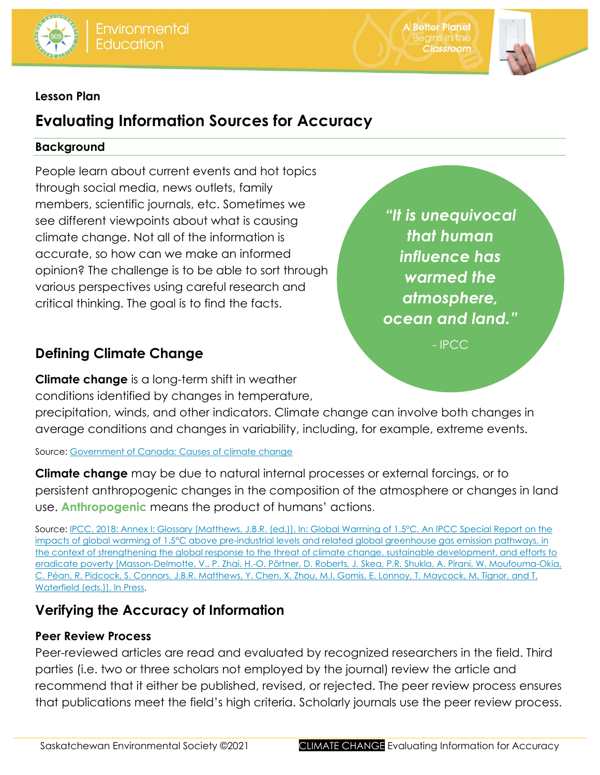

**A Better Planet Classroom** 



## **Lesson Plan**

# **Evaluating Information Sources for Accuracy**

### **Background**

People learn about current events and hot topics through social media, news outlets, family members, scientific journals, etc. Sometimes we see different viewpoints about what is causing climate change. Not all of the information is accurate, so how can we make an informed opinion? The challenge is to be able to sort through various perspectives using careful research and critical thinking. The goal is to find the facts.

## **Defining Climate Change**

**Climate change** is a long-term shift in weather conditions identified by changes in temperature,

precipitation, winds, and other indicators. Climate change can involve both changes in average conditions and changes in variability, including, for example, extreme events.

Source: [Government of Canada: Causes of climate change](https://www.canada.ca/en/environment-climate-change/services/climate-change/causes.html)

**Climate change** may be due to natural internal processes or external forcings, or to persistent anthropogenic changes in the composition of the atmosphere or changes in land use. **Anthropogenic** means the product of humans' actions.

Source: IPCC, 2018: Annex I: Glossary [Matthews, J.B.R. (ed.)]. In: [Global Warming of 1.5°C. An IPCC Special Report on the](https://www.ipcc.ch/sr15/chapter/glossary/)  [impacts of global warming of 1.5°C above pre-industrial levels and related global greenhouse gas emission pathways, in](https://www.ipcc.ch/sr15/chapter/glossary/)  [the context of strengthening the global response to the threat of climate change, sustainable development, and efforts to](https://www.ipcc.ch/sr15/chapter/glossary/)  eradicate poverty [\[Masson-Delmotte, V., P. Zhai, H.-O. Pörtner, D. Roberts, J. Skea, P.R. Shukla, A. Pirani, W. Moufouma-Okia,](https://www.ipcc.ch/sr15/chapter/glossary/)  [C. Péan, R. Pidcock, S. Connors, J.B.R. Matthews, Y. Chen, X. Zhou, M.I. Gomis, E. Lonnoy, T. Maycock, M. Tignor, and T.](https://www.ipcc.ch/sr15/chapter/glossary/)  [Waterfield \(eds.\)\]. In Press.](https://www.ipcc.ch/sr15/chapter/glossary/)

## **Verifying the Accuracy of Information**

### **Peer Review Process**

Peer-reviewed articles are read and evaluated by recognized researchers in the field. Third parties (i.e. two or three scholars not employed by the journal) review the article and recommend that it either be published, revised, or rejected. The peer review process ensures that publications meet the field's high criteria. Scholarly journals use the peer review process.

*"It is unequivocal that human influence has warmed the atmosphere, ocean and land."*

- IPCC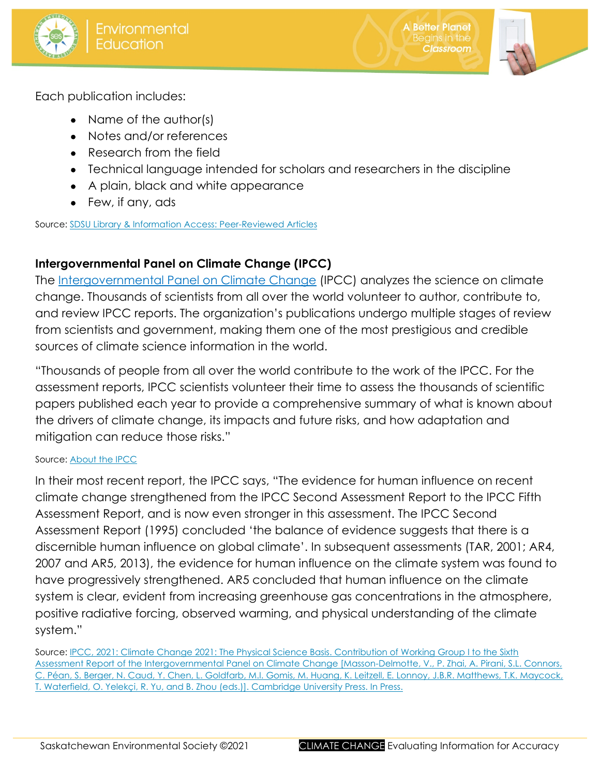





Each publication includes:

- Name of the author(s)
- Notes and/or references
- Research from the field
- Technical language intended for scholars and researchers in the discipline
- A plain, black and white appearance
- Few, if any, ads

Source: [SDSU Library & Information Access: Peer-Reviewed Articles](http://library.sdsu.edu/research-services/research-help/peer-reviewed-articles)

## **Intergovernmental Panel on Climate Change (IPCC)**

The [Intergovernmental Panel on Climate Change](http://www.ipcc.ch/) (IPCC) analyzes the science on climate change. Thousands of scientists from all over the world volunteer to author, contribute to, and review IPCC reports. The organization's publications undergo multiple stages of review from scientists and government, making them one of the most prestigious and credible sources of climate science information in the world.

"Thousands of people from all over the world contribute to the work of the IPCC. For the assessment reports, IPCC scientists volunteer their time to assess the thousands of scientific papers published each year to provide a comprehensive summary of what is known about the drivers of climate change, its impacts and future risks, and how adaptation and mitigation can reduce those risks."

#### Source: [About the IPCC](https://www.ipcc.ch/about/)

In their most recent report, the IPCC says, "The evidence for human influence on recent climate change strengthened from the IPCC Second Assessment Report to the IPCC Fifth Assessment Report, and is now even stronger in this assessment. The IPCC Second Assessment Report (1995) concluded 'the balance of evidence suggests that there is a discernible human influence on global climate'. In subsequent assessments (TAR, 2001; AR4, 2007 and AR5, 2013), the evidence for human influence on the climate system was found to have progressively strengthened. AR5 concluded that human influence on the climate system is clear, evident from increasing greenhouse gas concentrations in the atmosphere, positive radiative forcing, observed warming, and physical understanding of the climate system."

Source: [IPCC, 2021: Climate Change 2021: The Physical Science Basis. Contribution of Working Group I to the Sixth](https://www.ipcc.ch/report/ar6/wg1/downloads/report/IPCC_AR6_WGI_Chapter_03.pdf)  [Assessment Report of the Intergovernmental Panel on Climate Change \[Masson-Delmotte, V., P. Zhai, A. Pirani, S.L. Connors,](https://www.ipcc.ch/report/ar6/wg1/downloads/report/IPCC_AR6_WGI_Chapter_03.pdf)  [C. Péan, S. Berger, N. Caud, Y. Chen, L. Goldfarb, M.I. Gomis, M. Huang, K. Leitzell, E. Lonnoy, J.B.R. Matthews, T.K. Maycock,](https://www.ipcc.ch/report/ar6/wg1/downloads/report/IPCC_AR6_WGI_Chapter_03.pdf)  [T. Waterfield, O. Yelekçi, R. Yu, and B. Zhou \(eds.\)\]. Cambridge University Press. In Press.](https://www.ipcc.ch/report/ar6/wg1/downloads/report/IPCC_AR6_WGI_Chapter_03.pdf)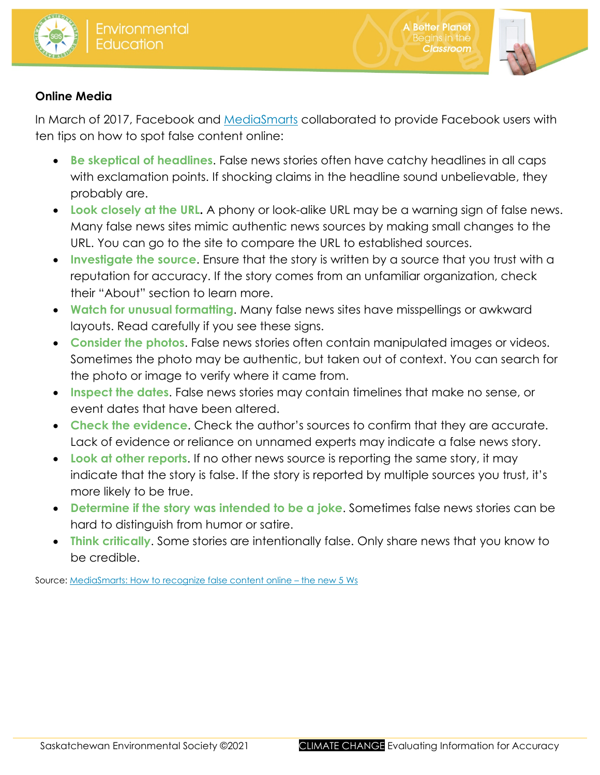



**A Better Planet** 

egins in the

**Classroom** 

## **Online Media**

In March of 2017, Facebook and [MediaSmarts](https://mediasmarts.ca/digital-media-literacy/digital-issues/authenticating-information) collaborated to provide Facebook users with ten tips on how to spot false content online:

- **Be skeptical of headlines**. False news stories often have catchy headlines in all caps with exclamation points. If shocking claims in the headline sound unbelievable, they probably are.
- **Look closely at the URL.** A phony or look-alike URL may be a warning sign of false news. Many false news sites mimic authentic news sources by making small changes to the URL. You can go to the site to compare the URL to established sources.
- **Investigate the source**. Ensure that the story is written by a source that you trust with a reputation for accuracy. If the story comes from an unfamiliar organization, check their "About" section to learn more.
- **Watch for unusual formatting**. Many false news sites have misspellings or awkward layouts. Read carefully if you see these signs.
- **Consider the photos**. False news stories often contain manipulated images or videos. Sometimes the photo may be authentic, but taken out of context. You can search for the photo or image to verify where it came from.
- **Inspect the dates**. False news stories may contain timelines that make no sense, or event dates that have been altered.
- **Check the evidence**. Check the author's sources to confirm that they are accurate. Lack of evidence or reliance on unnamed experts may indicate a false news story.
- **Look at other reports**. If no other news source is reporting the same story, it may indicate that the story is false. If the story is reported by multiple sources you trust, it's more likely to be true.
- **Determine if the story was intended to be a joke**. Sometimes false news stories can be hard to distinguish from humor or satire.
- **Think critically**. Some stories are intentionally false. Only share news that you know to be credible.

Source: [MediaSmarts: How to recognize false content online –](http://mediasmarts.ca/sites/mediasmarts/files/tip-sheet/tipsheet_false_content.pdf) the new 5 Ws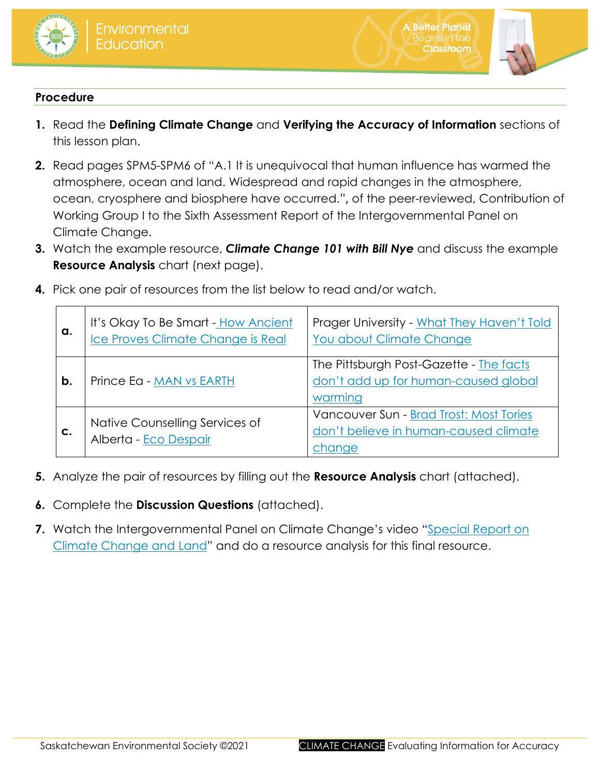



**A Better Planet** 

egins in the **Classroom** 

### **Procedure**

- **1.** Read the **Defining Climate Change** and **Verifying the Accuracy of Information** sections of this lesson plan.
- **2.** Read pages SPM5-SPM6 of "A.1 It is unequivocal that human influence has warmed the atmosphere, ocean and land. Widespread and rapid changes in the atmosphere, ocean, cryosphere and biosphere have occurred."**,** of the peer-reviewed, Contribution of Working Group I to the Sixth Assessment Report of the Intergovernmental Panel on Climate Change.
- **3.** Watch the example resource, *Climate Change 101 with Bill Nye* and discuss the example **Resource Analysis** chart (next page).

| a. | It's Okay To Be Smart - How Ancient<br>Ice Proves Climate Change is Real | Prager University - What They Haven't Told<br>You about Climate Change                     |  |
|----|--------------------------------------------------------------------------|--------------------------------------------------------------------------------------------|--|
| b. | Prince Eq - MAN vs EARTH                                                 | The Pittsburgh Post-Gazette - The facts<br>don't add up for human-caused global<br>warming |  |
| C. | Native Counselling Services of<br>Alberta - Eco Despair                  | Vancouver Sun - Brad Trost: Most Tories<br>don't believe in human-caused climate<br>change |  |

**4.** Pick one pair of resources from the list below to read and/or watch.

- **5.** Analyze the pair of resources by filling out the **Resource Analysis** chart (attached).
- **6.** Complete the **Discussion Questions** (attached).
- **7.** Watch the Intergovernmental Panel on Climate Change's video "Special Report on [Climate Change and Land"](https://www.youtube.com/watch?v=EMFCbjPb5ng) and do a resource analysis for this final resource.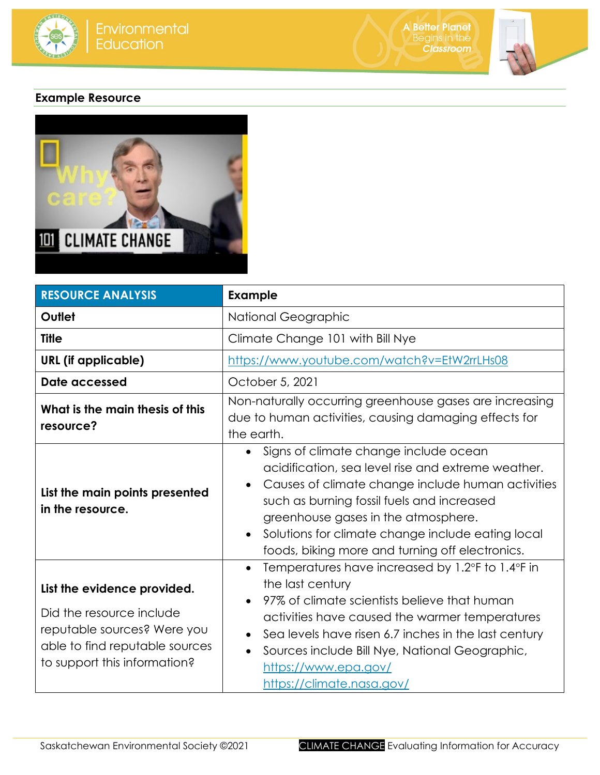



## **Example Resource**



| <b>RESOURCE ANALYSIS</b>                                                                                                                                 | <b>Example</b>                                                                                                                                                                                                                                                                                                                                |  |  |
|----------------------------------------------------------------------------------------------------------------------------------------------------------|-----------------------------------------------------------------------------------------------------------------------------------------------------------------------------------------------------------------------------------------------------------------------------------------------------------------------------------------------|--|--|
| Outlet                                                                                                                                                   | National Geographic                                                                                                                                                                                                                                                                                                                           |  |  |
| <b>Title</b>                                                                                                                                             | Climate Change 101 with Bill Nye                                                                                                                                                                                                                                                                                                              |  |  |
| <b>URL</b> (if applicable)                                                                                                                               | https://www.youtube.com/watch?v=EtW2rrLHs08                                                                                                                                                                                                                                                                                                   |  |  |
| Date accessed                                                                                                                                            | October 5, 2021                                                                                                                                                                                                                                                                                                                               |  |  |
| What is the main thesis of this<br>resource?                                                                                                             | Non-naturally occurring greenhouse gases are increasing<br>due to human activities, causing damaging effects for<br>the earth.                                                                                                                                                                                                                |  |  |
| List the main points presented<br>in the resource.                                                                                                       | Signs of climate change include ocean<br>acidification, sea level rise and extreme weather.<br>Causes of climate change include human activities<br>such as burning fossil fuels and increased<br>greenhouse gases in the atmosphere.<br>Solutions for climate change include eating local<br>foods, biking more and turning off electronics. |  |  |
| List the evidence provided.<br>Did the resource include<br>reputable sources? Were you<br>able to find reputable sources<br>to support this information? | Temperatures have increased by 1.2°F to 1.4°F in<br>the last century<br>97% of climate scientists believe that human<br>activities have caused the warmer temperatures<br>Sea levels have risen 6.7 inches in the last century<br>Sources include Bill Nye, National Geographic,<br>https://www.epa.gov/<br>https://climate.nasa.gov/         |  |  |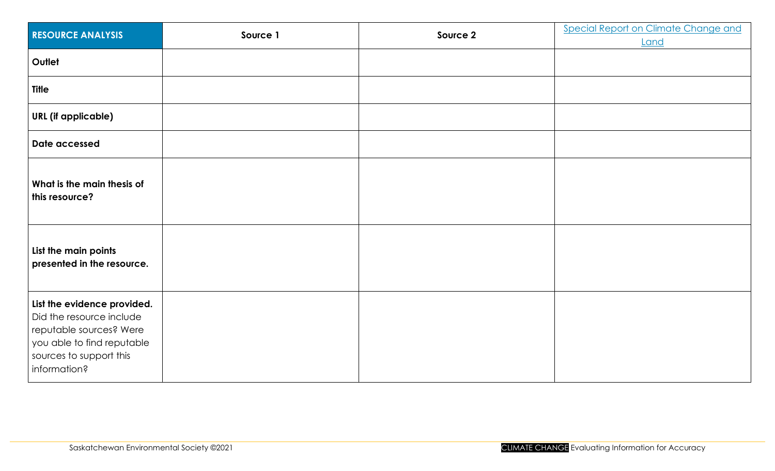| <b>RESOURCE ANALYSIS</b>                                                                                                                                    | Source 1 | Source 2 | <b>Special Report on Climate Change and</b><br>Land |
|-------------------------------------------------------------------------------------------------------------------------------------------------------------|----------|----------|-----------------------------------------------------|
| Outlet                                                                                                                                                      |          |          |                                                     |
| <b>Title</b>                                                                                                                                                |          |          |                                                     |
| <b>URL</b> (if applicable)                                                                                                                                  |          |          |                                                     |
| Date accessed                                                                                                                                               |          |          |                                                     |
| What is the main thesis of<br>this resource?                                                                                                                |          |          |                                                     |
| List the main points<br>presented in the resource.                                                                                                          |          |          |                                                     |
| List the evidence provided.<br>Did the resource include<br>reputable sources? Were<br>you able to find reputable<br>sources to support this<br>information? |          |          |                                                     |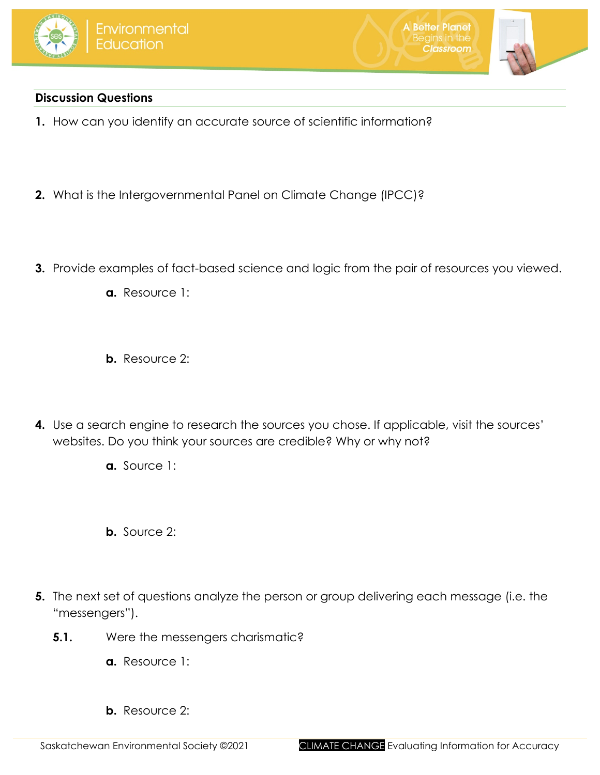





## **Discussion Questions**

- **1.** How can you identify an accurate source of scientific information?
- **2.** What is the Intergovernmental Panel on Climate Change (IPCC)?
- **3.** Provide examples of fact-based science and logic from the pair of resources you viewed.
	- **a.** Resource 1:
	- **b.** Resource 2:
- **4.** Use a search engine to research the sources you chose. If applicable, visit the sources' websites. Do you think your sources are credible? Why or why not?
	- **a.** Source 1:
	- **b.** Source 2:
- **5.** The next set of questions analyze the person or group delivering each message (i.e. the "messengers").
	- **5.1.** Were the messengers charismatic?
		- **a.** Resource 1:
		- **b.** Resource 2: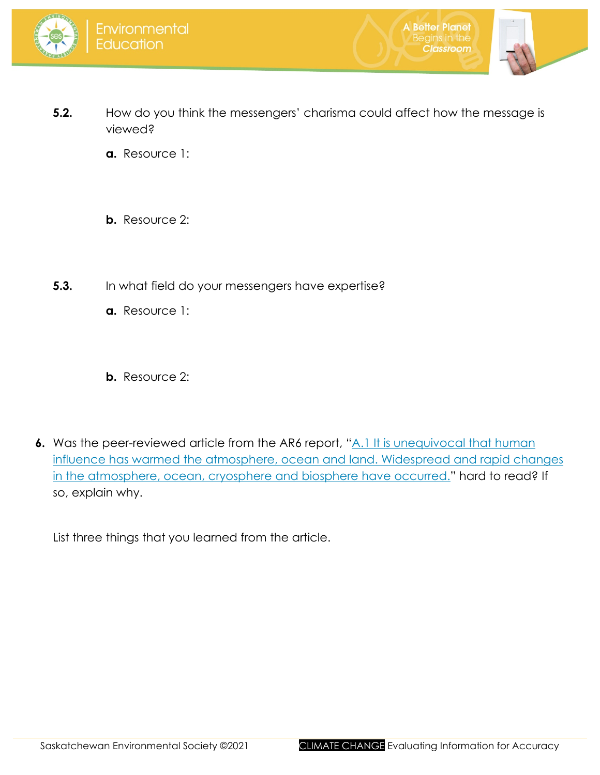



**A Better Planet** 

**Classroom** 

- **5.2.** How do you think the messengers' charisma could affect how the message is viewed?
	- **a.** Resource 1:
	- **b.** Resource 2:
- **5.3.** In what field do your messengers have expertise?
	- **a.** Resource 1:
	- **b.** Resource 2:
- **6.** Was the peer-reviewed article from the AR6 report, "A.1 It is unequivocal that human [influence has warmed the atmosphere, ocean and land. Widespread and rapid changes](https://www.ipcc.ch/report/ar6/wg1/downloads/report/IPCC_AR6_WGI_SPM.pdf)  [in the atmosphere, ocean, cryosphere and biosphere have occurred."](https://www.ipcc.ch/report/ar6/wg1/downloads/report/IPCC_AR6_WGI_SPM.pdf) hard to read? If so, explain why.
	- List three things that you learned from the article.